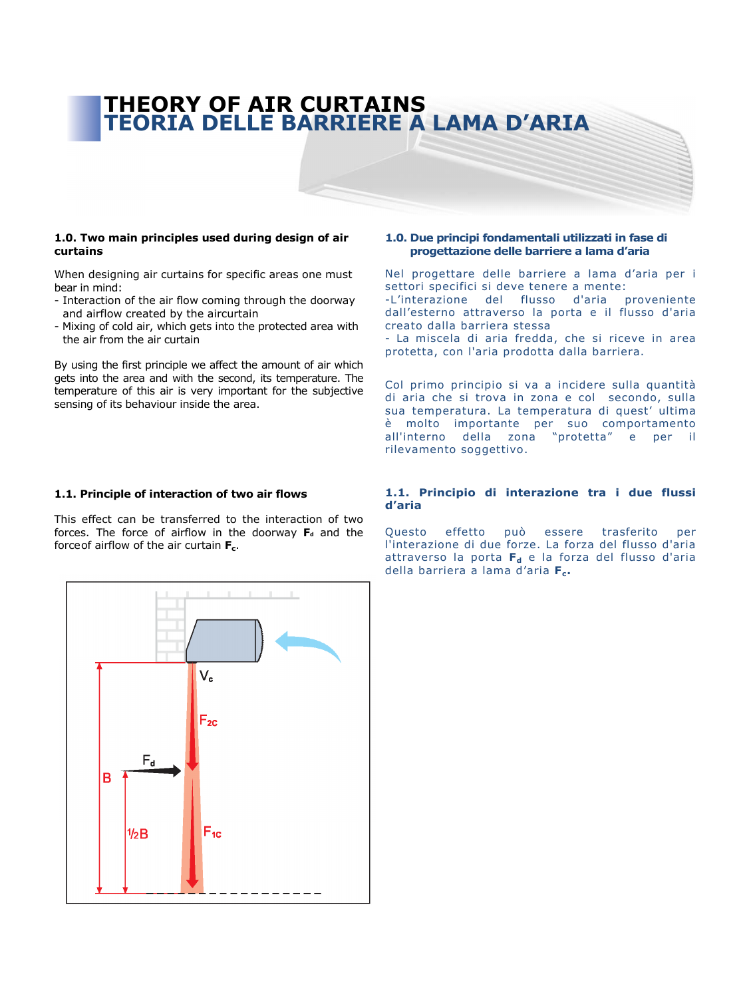# THEORY OF AIR CURTAINS TEORIA DELLE BARRIERE A LAMA D'ARIA

## 1.0. Two main principles used during design of air curtains

When designing air curtains for specific areas one must bear in mind:

- Interaction of the air flow coming through the doorway and airflow created by the aircurtain
- Mixing of cold air, which gets into the protected area with the air from the air curtain

By using the first principle we affect the amount of air which gets into the area and with the second, its temperature. The temperature of this air is very important for the subjective sensing of its behaviour inside the area.

# 1.0. Due principi fondamentali utilizzati in fase di progettazione delle barriere a lama d'aria

Nel progettare delle barriere a lama d'aria per i settori specifici si deve tenere a mente: -L'interazione del flusso d'aria proveniente dall'esterno attraverso la porta e il flusso d'aria creato dalla barriera stessa

- La miscela di aria fredda, che si riceve in area protetta, con l'aria prodotta dalla barriera.

Col primo principio si va a incidere sulla quantità di aria che si trova in zona e col secondo, sulla sua temperatura. La temperatura di quest' ultima è molto importante per suo comportamento all'interno della zona "protetta" e per il rilevamento soggettivo.

# 1.1. Principle of interaction of two air flows

This effect can be transferred to the interaction of two forces. The force of airflow in the doorway  $F_d$  and the force of airflow of the air curtain  $F_c$ .

# 1.1. Principio di interazione tra i due flussi d'aria

Questo effetto può essere trasferito per l'interazione di due forze. La forza del flusso d'aria attraverso la porta  $F_d$  e la forza del flusso d'aria della barriera a lama d'aria  $F_c$ .

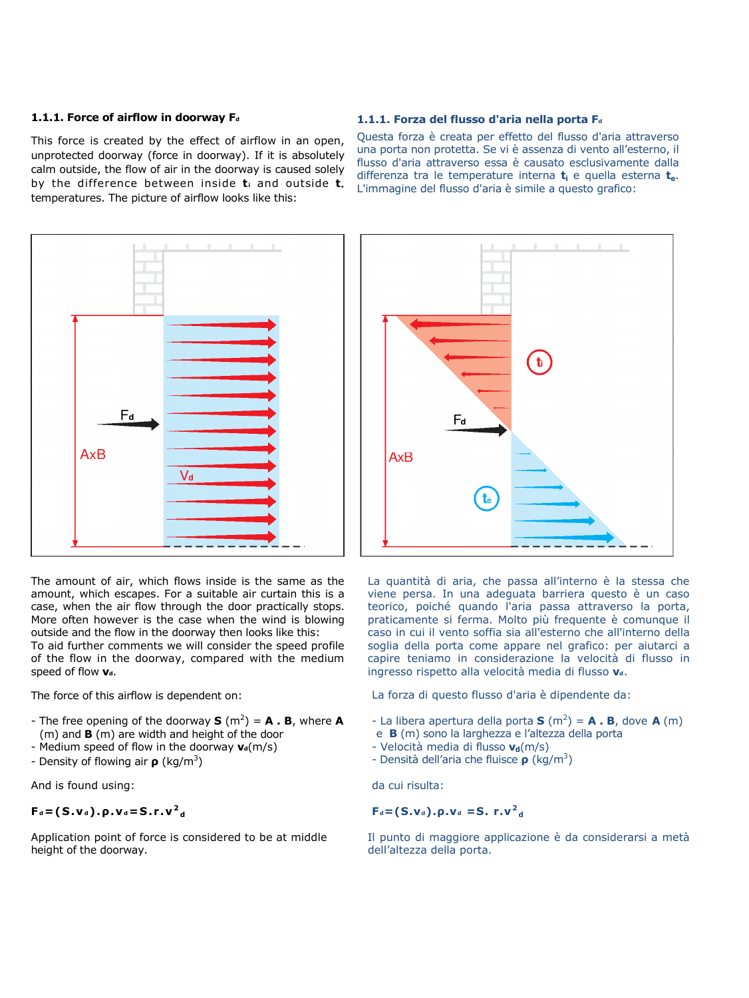# 1.1.1. Force of airflow in doorway  $F_d$

This force is created by the effect of airflow in an open, unprotected doorway (force in doorway). If it is absolutely calm outside, the flow of air in the doorway is caused solely by the difference between inside  $t_i$  and outside  $t_i$ temperatures. The picture of airflow looks like this:

## 1.1.1. Forza del flusso d'aria nella porta F<sub>d</sub>

Questa forza è creata per effetto del flusso d'aria attraverso una porta non protetta. Se vi è assenza di vento all'esterno, il flusso d'aria attraverso essa è causato esclusivamente dalla differenza tra le temperature interna  $t_i$  e quella esterna  $t_{e}$ . L'immagine del flusso d'aria è simile a questo grafico:





The force of this airflow is dependent on:

- The free opening of the doorway  $S(m^2) = A \cdot B$ , where A (m) and B (m) are width and height of the door
- Medium speed of flow in the doorway  $v_d(m/s)$
- Density of flowing air  $\rho$  (kg/m<sup>3</sup>)

And is found using:

# $F_d = (S.v_d) . \rho . v_d = S . r . v^2_d$

Application point of force is considered to be at middle height of the doorway.



La quantità di aria, che passa all'interno è la stessa che viene persa. In una adeguata barriera questo è un caso teorico, poiché quando l'aria passa attraverso la porta, praticamente si ferma. Molto più frequente è comunque il caso in cui il vento soffia sia all'esterno che all'interno della soglia della porta come appare nel grafico: per aiutarci a capire teniamo in considerazione la velocità di flusso in ingresso rispetto alla velocità media di flusso v.

La forza di questo flusso d'aria è dipendente da:

- La libera apertura della porta **S** (m<sup>2</sup>) = **A** . **B**, dove **A** (m)
- e B (m) sono la larghezza e l'altezza della porta
- Velocità media di flusso  $v_d(m/s)$
- Densità dell'aria che fluisce  $\rho$  (kg/m<sup>3</sup>)

da cui risulta:

 $F_d = (S.v_d).p.v_d = S. r.v_d^2$ 

Il punto di maggiore applicazione è da considerarsi a metà dell'altezza della porta.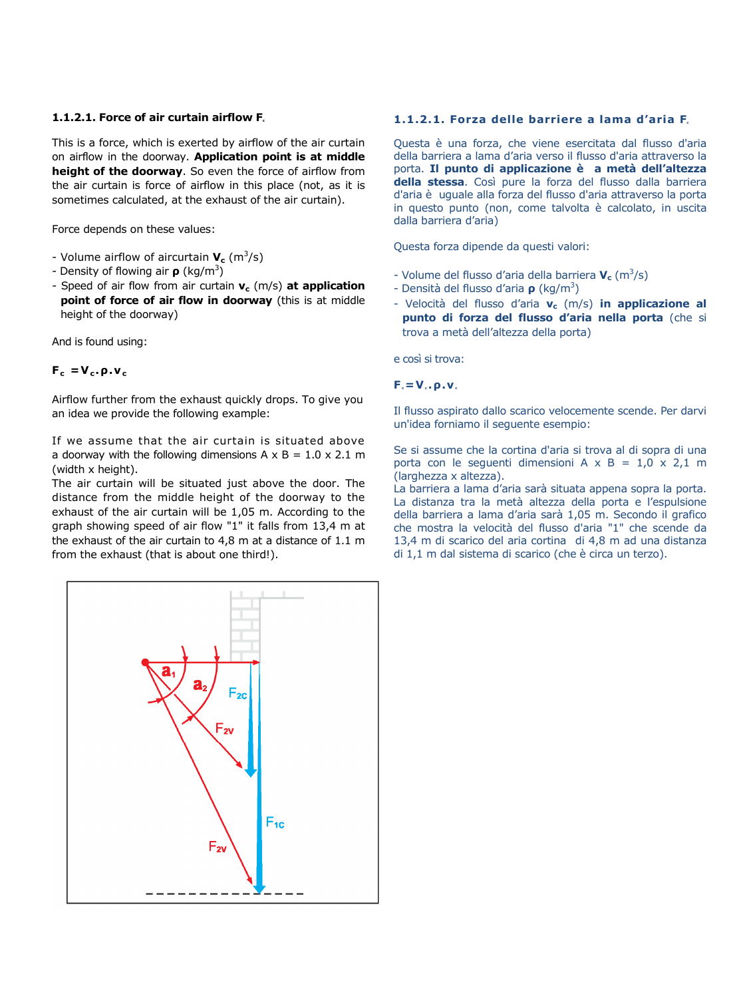# $1.1.2.1$ . Force of air curtain airflow F.

This is a force, which is exerted by airflow of the air curtain on airflow in the doorway. Application point is at middle height of the doorway. So even the force of airflow from the air curtain is force of airflow in this place (not, as it is sometimes calculated, at the exhaust of the air curtain).

Force depends on these values:

- Volume airflow of aircurtain  $V_c$  (m<sup>3</sup>/s)
- Density of flowing air  $\rho$  (kg/m<sup>3</sup>)
- Speed of air flow from air curtain  $v_c$  (m/s) at application point of force of air flow in doorway (this is at middle height of the doorway)

And is found using:

# $F_c = V_c \cdot \rho \cdot v_c$

Airflow further from the exhaust quickly drops. To give you an idea we provide the following example:

If we assume that the air curtain is situated above a doorway with the following dimensions  $A \times B = 1.0 \times 2.1$  m (width x height).

The air curtain will be situated just above the door. The distance from the middle height of the doorway to the exhaust of the air curtain will be 1,05 m. According to the graph showing speed of air flow "1" it falls from 13,4 m at the exhaust of the air curtain to 4,8 m at a distance of 1.1 m from the exhaust (that is about one third!).

# 1.1.2.1. Forza delle barriere a lama d'aria F.

Questa è una forza, che viene esercitata dal flusso d'aria della barriera a lama d'aria verso il flusso d'aria attraverso la porta. Il punto di applicazione è a metà dell'altezza della stessa. Così pure la forza del flusso dalla barriera d'aria è uguale alla forza del flusso d'aria attraverso la porta in questo punto (non, come talvolta è calcolato, in uscita dalla barriera d'aria)

Questa forza dipende da questi valori:

- Volume del flusso d'aria della barriera  $V_c$  (m<sup>3</sup>/s)
- Densità del flusso d'aria  $\rho$  (kg/m<sup>3</sup>)
- Velocità del flusso d'aria  $v_c$  (m/s) in applicazione al punto di forza del flusso d'aria nella porta (che si trova a metà dell'altezza della porta)

e così si trova:

# $F_c = V_c \cdot \rho \cdot v_c$

Il flusso aspirato dallo scarico velocemente scende. Per darvi un'idea forniamo il seguente esempio:

Se si assume che la cortina d'aria si trova al di sopra di una porta con le sequenti dimensioni  $A \times B = 1,0 \times 2,1$  m (larghezza x altezza).

La barriera a lama d'aria sarà situata appena sopra la porta. La distanza tra la metà altezza della porta e l'espulsione della barriera a lama d'aria sarà 1,05 m. Secondo il grafico che mostra la velocità del flusso d'aria "1" che scende da 13,4 m di scarico del aria cortina di 4,8 m ad una distanza di 1,1 m dal sistema di scarico (che è circa un terzo).

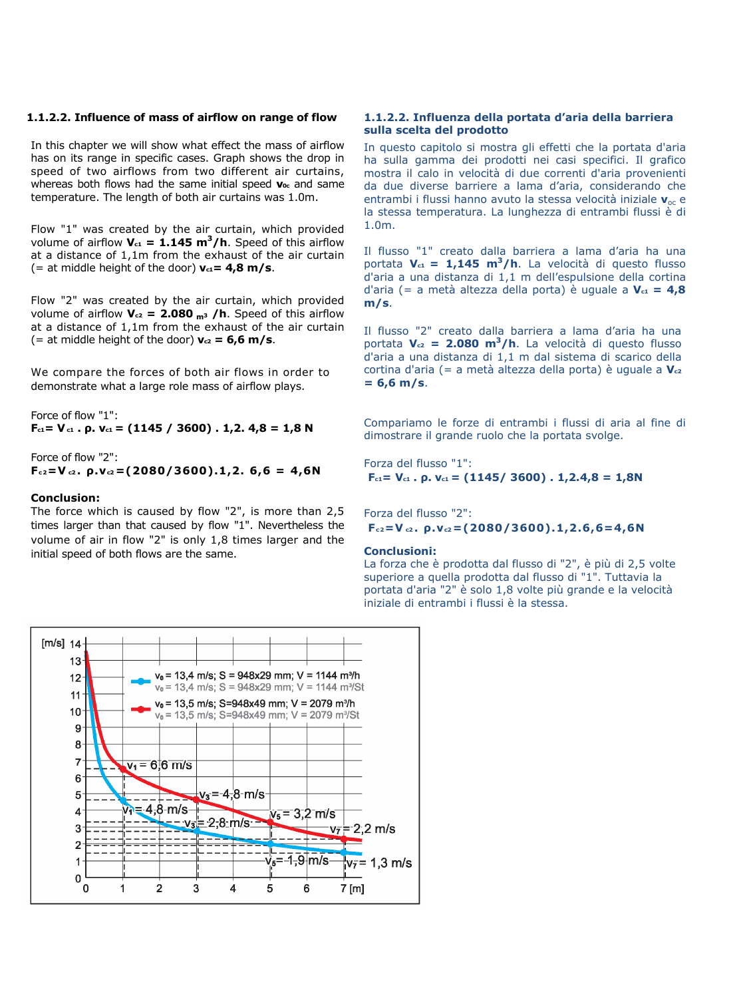## 1.1.2.2. Influence of mass of airflow on range of flow

In this chapter we will show what effect the mass of airflow has on its range in specific cases. Graph shows the drop in speed of two airflows from two different air curtains, whereas both flows had the same initial speed  $v_{0c}$  and same temperature. The length of both air curtains was 1.0m.

Flow "1" was created by the air curtain, which provided volume of airflow  $V_{c1} = 1.145 \text{ m}^3/\text{h}$ . Speed of this airflow at a distance of 1,1m from the exhaust of the air curtain (= at middle height of the door)  $v_{c1} = 4.8$  m/s.

Flow "2" was created by the air curtain, which provided volume of airflow  $V_{c2}$  = 2.080 m<sup>3</sup> /h. Speed of this airflow at a distance of 1,1m from the exhaust of the air curtain (= at middle height of the door)  $v_{c2} = 6.6$  m/s.

We compare the forces of both air flows in order to demonstrate what a large role mass of airflow plays.

Force of flow "1":  $F_{c1} = V_{c1}$ . ρ.  $V_{c1} = (1145 / 3600)$ . 1,2. 4,8 = 1,8 N

Force of flow "2":  $F_{c2} = V_{c2}$ .  $\rho$ . $v_{c2} = (2080/3600)$ .1,2. 6,6 = 4,6N

#### Conclusion:

The force which is caused by flow "2", is more than 2,5 times larger than that caused by flow "1". Nevertheless the volume of air in flow "2" is only 1,8 times larger and the initial speed of both flows are the same.

## 1.1.2.2. Influenza della portata d'aria della barriera sulla scelta del prodotto

In questo capitolo si mostra gli effetti che la portata d'aria ha sulla gamma dei prodotti nei casi specifici. Il grafico mostra il calo in velocità di due correnti d'aria provenienti da due diverse barriere a lama d'aria, considerando che entrambi i flussi hanno avuto la stessa velocità iniziale  $v_{\text{oc}}$  e la stessa temperatura. La lunghezza di entrambi flussi è di 1.0m.

Il flusso "1" creato dalla barriera a lama d'aria ha una portata  $V_{c1} = 1,145 \text{ m}^3/\text{h}$ . La velocità di questo flusso d'aria a una distanza di 1,1 m dell'espulsione della cortina d'aria (= a metà altezza della porta) è uguale a  $V_{c1} = 4,8$ m/s.

Il flusso "2" creato dalla barriera a lama d'aria ha una portata  $V_{c2}$  = 2.080 m<sup>3</sup>/h. La velocità di questo flusso d'aria a una distanza di 1,1 m dal sistema di scarico della cortina d'aria (= a metà altezza della porta) è uguale a  $V_{c2}$  $= 6,6$  m/s.

Compariamo le forze di entrambi i flussi di aria al fine di dimostrare il grande ruolo che la portata svolge.

Forza del flusso "1":  $F_{c1} = V_{c1}$ . ρ.  $V_{c1} = (1145/3600)$ . 1,2.4,8 = 1,8N

Forza del flusso "2":  $F_{c2} = V_{c2}$ ,  $\rho$ ,  $v_{c2} = (2080/3600)$ , 1, 2, 6, 6 = 4, 6N

#### Conclusioni:

La forza che è prodotta dal flusso di "2", è più di 2,5 volte superiore a quella prodotta dal flusso di "1". Tuttavia la portata d'aria "2" è solo 1,8 volte più grande e la velocità iniziale di entrambi i flussi è la stessa.

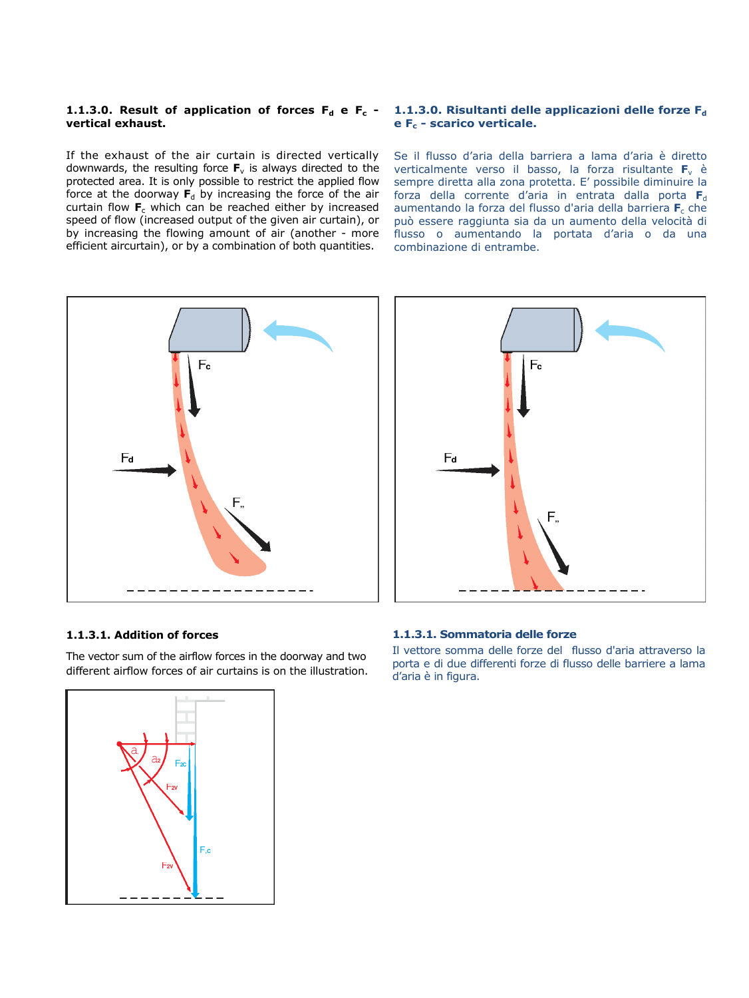# vertical exhaust.

If the exhaust of the air curtain is directed vertically downwards, the resulting force  $F_v$  is always directed to the protected area. It is only possible to restrict the applied flow force at the doorway  $F_d$  by increasing the force of the air curtain flow  $F_c$  which can be reached either by increased speed of flow (increased output of the given air curtain), or by increasing the flowing amount of air (another - more efficient aircurtain), or by a combination of both quantities.

# 1.1.3.0. Result of application of forces  $F_d$  e  $F_c$  - 1.1.3.0. Risultanti delle applicazioni delle forze  $F_d$  $e F_c$  - scarico verticale.

Se il flusso d'aria della barriera a lama d'aria è diretto verticalmente verso il basso, la forza risultante  $F_v$  è sempre diretta alla zona protetta. E' possibile diminuire la forza della corrente d'aria in entrata dalla porta  $F_d$ aumentando la forza del flusso d'aria della barriera  $F_c$  che può essere raggiunta sia da un aumento della velocità di flusso o aumentando la portata d'aria o da una combinazione di entrambe.





## 1.1.3.1. Addition of forces

The vector sum of the airflow forces in the doorway and two different airflow forces of air curtains is on the illustration.

## 1.1.3.1. Sommatoria delle forze

Il vettore somma delle forze del flusso d'aria attraverso la porta e di due differenti forze di flusso delle barriere a lama d'aria è in figura.

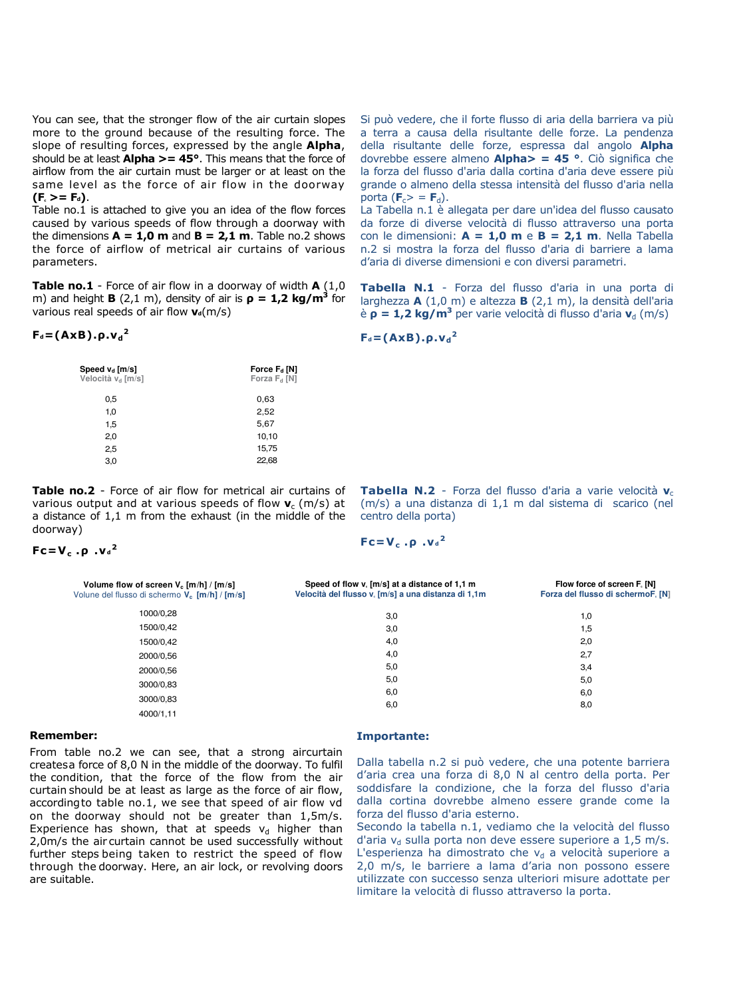You can see, that the stronger flow of the air curtain slopes more to the ground because of the resulting force. The slope of resulting forces, expressed by the angle **Alpha**, should be at least  $Alpha \gt = 45^\circ$ . This means that the force of airflow from the air curtain must be larger or at least on the same level as the force of air flow in the doorway  $(F_c >= F_d)$ .

Table no.1 is attached to give you an idea of the flow forces caused by various speeds of flow through a doorway with the dimensions  $A = 1.0$  m and  $B = 2.1$  m. Table no.2 shows the force of airflow of metrical air curtains of various parameters.

Table no.1 - Force of air flow in a doorway of width  $A(1,0)$ m) and height **B** (2,1 m), density of air is  $p = 1.2$  kg/m<sup>3</sup> for various real speeds of air flow  $v_d(m/s)$ 

# $F_d = (A \times B) \cdot \rho \cdot v_d^2$

| Speed v <sub>d</sub> [m/s]<br>Velocità v <sub>d</sub> [m/s] | Force $F_d$ [N]<br>Forza $F_d$ [N] |  |
|-------------------------------------------------------------|------------------------------------|--|
| 0,5                                                         | 0.63                               |  |
| 1,0                                                         | 2,52                               |  |
| 1,5                                                         | 5,67                               |  |
| 2,0                                                         | 10,10                              |  |
| 2,5                                                         | 15,75                              |  |
| 3,0                                                         | 22,68                              |  |

Table no.2 - Force of air flow for metrical air curtains of various output and at various speeds of flow  $v_c$  (m/s) at a distance of 1,1 m from the exhaust (in the middle of the doorway)

 $Fc=V_c.p.$ ν $d^2$ 

| Si può vedere, che il forte flusso di aria della barriera va più |  |
|------------------------------------------------------------------|--|
| a terra a causa della risultante delle forze. La pendenza        |  |
| della risultante delle forze, espressa dal angolo <b>Alpha</b>   |  |
| dovrebbe essere almeno $Alpha > = 45$ °. Ciò significa che       |  |
| la forza del flusso d'aria dalla cortina d'aria deve essere più  |  |
| grande o almeno della stessa intensità del flusso d'aria nella   |  |
| porta ( $\mathbf{F}_c$ $>$ = $\mathbf{F}_d$ ).                   |  |
|                                                                  |  |

La Tabella n.1 è allegata per dare un'idea del flusso causato da forze di diverse velocità di flusso attraverso una porta con le dimensioni:  $A = 1,0$  m e  $B = 2,1$  m. Nella Tabella n.2 si mostra la forza del flusso d'aria di barriere a lama d'aria di diverse dimensioni e con diversi parametri.

Tabella N.1 - Forza del flusso d'aria in una porta di larghezza A (1,0 m) e altezza B (2,1 m), la densità dell'aria è  $\rho = 1,2$  kg/m<sup>3</sup> per varie velocità di flusso d'aria v<sub>d</sub> (m/s)

$$
F_d = (AxB).p.v_d^2
$$

Tabella N.2 - Forza del flusso d'aria a varie velocità v<sub>c</sub> (m/s) a una distanza di 1,1 m dal sistema di scarico (nel centro della porta)

 $Fc=V_c .\rho .V_d^2$ 

| Volume flow of screen $V_c$ [m/h] / [m/s]<br>Volune del flusso di schermo V <sub>c</sub> [m/h] / [m/s] | Speed of flow v. [m/s] at a distance of 1,1 m<br>Velocità del flusso v. [m/s] a una distanza di 1,1m | Flow force of screen F. [N]<br>Forza del flusso di schermoF, [N] |
|--------------------------------------------------------------------------------------------------------|------------------------------------------------------------------------------------------------------|------------------------------------------------------------------|
| 1000/0.28                                                                                              | 3,0                                                                                                  | 1,0                                                              |
| 1500/0,42                                                                                              | 3,0                                                                                                  | 1,5                                                              |
| 1500/0,42                                                                                              | 4,0                                                                                                  | 2,0                                                              |
| 2000/0.56                                                                                              | 4,0                                                                                                  | 2,7                                                              |
| 2000/0.56                                                                                              | 5,0                                                                                                  | 3,4                                                              |
| 3000/0.83                                                                                              | 5,0                                                                                                  | 5,0                                                              |
| 3000/0.83                                                                                              | 6,0                                                                                                  | 6,0                                                              |
| 4000/1,11                                                                                              | 6,0                                                                                                  | 8,0                                                              |

#### Remember:

From table no.2 we can see, that a strong aircurtain createsa force of 8,0 N in the middle of the doorway. To fulfil the condition, that the force of the flow from the air curtain should be at least as large as the force of air flow, accordingto table no.1, we see that speed of air flow vd on the doorway should not be greater than 1,5m/s. Experience has shown, that at speeds  $v_d$  higher than 2,0m/s the air curtain cannot be used successfully without further steps being taken to restrict the speed of flow through the doorway. Here, an air lock, or revolving doors are suitable.

## Importante:

Dalla tabella n.2 si può vedere, che una potente barriera d'aria crea una forza di 8,0 N al centro della porta. Per soddisfare la condizione, che la forza del flusso d'aria dalla cortina dovrebbe almeno essere grande come la forza del flusso d'aria esterno.

Secondo la tabella n.1, vediamo che la velocità del flusso d'aria v<sub>d</sub> sulla porta non deve essere superiore a  $1,5$  m/s. L'esperienza ha dimostrato che  $v<sub>d</sub>$  a velocità superiore a 2,0 m/s, le barriere a lama d'aria non possono essere utilizzate con successo senza ulteriori misure adottate per limitare la velocità di flusso attraverso la porta.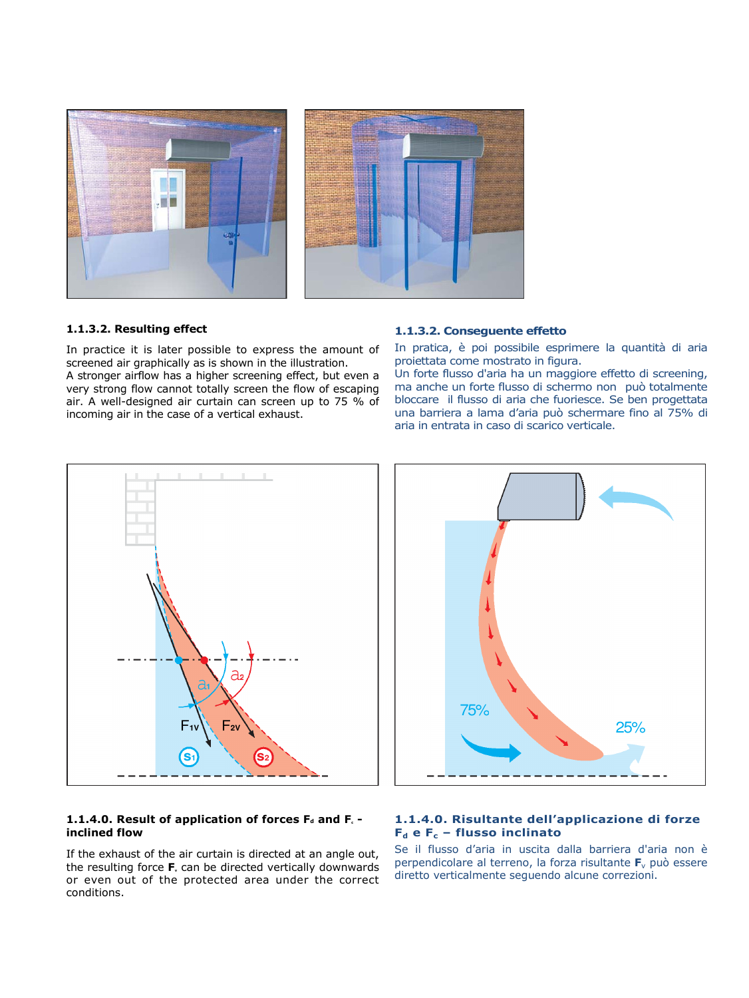

# 1.1.3.2. Resulting effect

In practice it is later possible to express the amount of screened air graphically as is shown in the illustration. A stronger airflow has a higher screening effect, but even a very strong flow cannot totally screen the flow of escaping air. A well-designed air curtain can screen up to 75 % of incoming air in the case of a vertical exhaust.

# 1.1.3.2. Conseguente effetto

In pratica, è poi possibile esprimere la quantità di aria proiettata come mostrato in figura.

Un forte flusso d'aria ha un maggiore effetto di screening, ma anche un forte flusso di schermo non può totalmente bloccare il flusso di aria che fuoriesce. Se ben progettata una barriera a lama d'aria può schermare fino al 75% di aria in entrata in caso di scarico verticale.



# 1.1.4.0. Result of application of forces  $F_d$  and  $F_c$  inclined flow

If the exhaust of the air curtain is directed at an angle out, the resulting force  $F<sub>v</sub>$  can be directed vertically downwards or even out of the protected area under the correct conditions.



# 1.1.4.0. Risultante dell'applicazione di forze  $F_d$  e  $F_c$  – flusso inclinato

Se il flusso d'aria in uscita dalla barriera d'aria non è perpendicolare al terreno, la forza risultante  $F_v$  può essere diretto verticalmente seguendo alcune correzioni.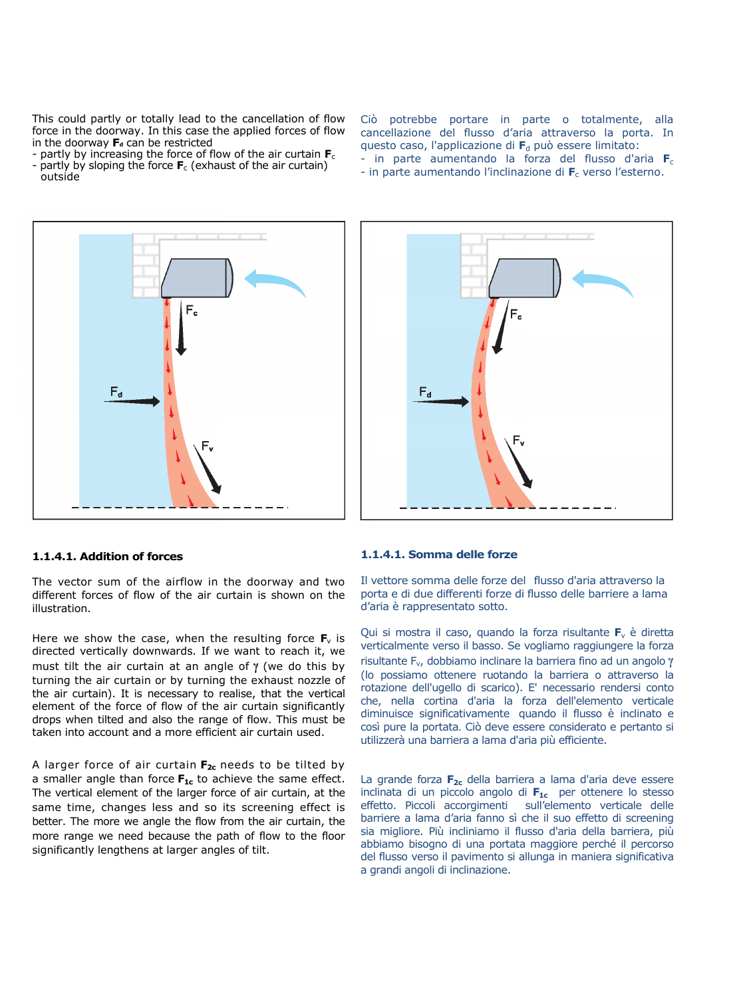This could partly or totally lead to the cancellation of flow force in the doorway. In this case the applied forces of flow in the doorway  $F_d$  can be restricted

- partly by increasing the force of flow of the air curtain  $F_c$
- partly by sloping the force  $F_c$  (exhaust of the air curtain) outside



# Ciò potrebbe portare in parte o totalmente, alla cancellazione del flusso d'aria attraverso la porta. In questo caso, l'applicazione di  $F_d$  può essere limitato: - in parte aumentando la forza del flusso d'aria  $F_c$ - in parte aumentando l'inclinazione di  $F_c$  verso l'esterno.



## 1.1.4.1. Addition of forces

The vector sum of the airflow in the doorway and two different forces of flow of the air curtain is shown on the illustration.

Here we show the case, when the resulting force  $F_v$  is directed vertically downwards. If we want to reach it, we must tilt the air curtain at an angle of γ (we do this by turning the air curtain or by turning the exhaust nozzle of the air curtain). It is necessary to realise, that the vertical element of the force of flow of the air curtain significantly drops when tilted and also the range of flow. This must be taken into account and a more efficient air curtain used.

A larger force of air curtain  $F_{2c}$  needs to be tilted by a smaller angle than force  $F_{1c}$  to achieve the same effect. The vertical element of the larger force of air curtain, at the same time, changes less and so its screening effect is better. The more we angle the flow from the air curtain, the more range we need because the path of flow to the floor significantly lengthens at larger angles of tilt.

#### 1.1.4.1. Somma delle forze

Il vettore somma delle forze del flusso d'aria attraverso la porta e di due differenti forze di flusso delle barriere a lama d'aria è rappresentato sotto.

Qui si mostra il caso, quando la forza risultante  $F_v$  è diretta verticalmente verso il basso. Se vogliamo raggiungere la forza risultante Fv, dobbiamo inclinare la barriera fino ad un angolo γ (lo possiamo ottenere ruotando la barriera o attraverso la rotazione dell'ugello di scarico). E' necessario rendersi conto che, nella cortina d'aria la forza dell'elemento verticale diminuisce significativamente quando il flusso è inclinato e così pure la portata. Ciò deve essere considerato e pertanto si utilizzerà una barriera a lama d'aria più efficiente.

La grande forza  $F_{2c}$  della barriera a lama d'aria deve essere inclinata di un piccolo angolo di  $F_{1c}$  per ottenere lo stesso effetto. Piccoli accorgimenti sull'elemento verticale delle barriere a lama d'aria fanno sì che il suo effetto di screening sia migliore. Più incliniamo il flusso d'aria della barriera, più abbiamo bisogno di una portata maggiore perché il percorso del flusso verso il pavimento si allunga in maniera significativa a grandi angoli di inclinazione.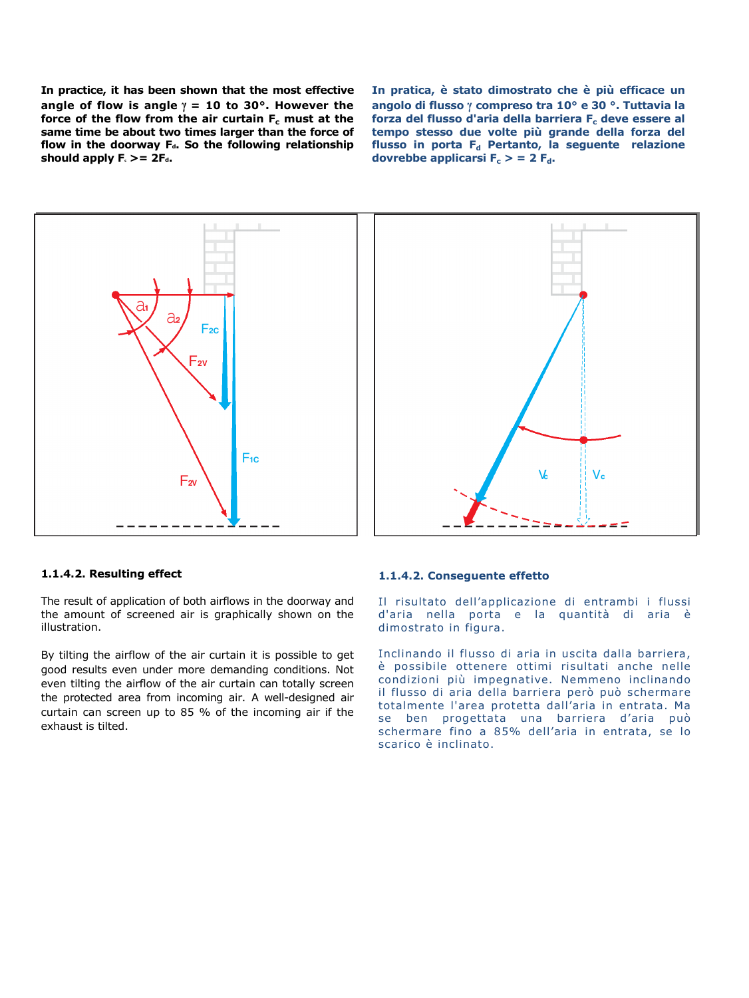In practice, it has been shown that the most effective angle of flow is angle  $\gamma = 10$  to 30°. However the force of the flow from the air curtain  $F_c$  must at the same time be about two times larger than the force of flow in the doorway  $F_d$ . So the following relationship should apply  $F_c$  >=  $2F_d$ .

In pratica, è stato dimostrato che è più efficace un angolo di flusso γ compreso tra 10° e 30 °. Tuttavia la forza del flusso d'aria della barriera  $F_c$  deve essere al tempo stesso due volte più grande della forza del flusso in porta  $F_d$  Pertanto, la seguente relazione dovrebbe applicarsi  $F_c > 2 F_d$ .





## 1.1.4.2. Resulting effect

The result of application of both airflows in the doorway and the amount of screened air is graphically shown on the illustration.

By tilting the airflow of the air curtain it is possible to get good results even under more demanding conditions. Not even tilting the airflow of the air curtain can totally screen the protected area from incoming air. A well-designed air curtain can screen up to 85 % of the incoming air if the exhaust is tilted.

#### 1.1.4.2. Conseguente effetto

Il risultato dell'applicazione di entrambi i flussi d'aria nella porta e la quantità di aria è dimostrato in figura.

Inclinando il flusso di aria in uscita dalla barriera, è possibile ottenere ottimi risultati anche nelle condizioni più impegnative. Nemmeno inclinando il flusso di aria della barriera però può schermare totalmente l'area protetta dall'aria in entrata. Ma se ben progettata una barriera d'aria può schermare fino a 85% dell'aria in entrata, se lo scarico è inclinato.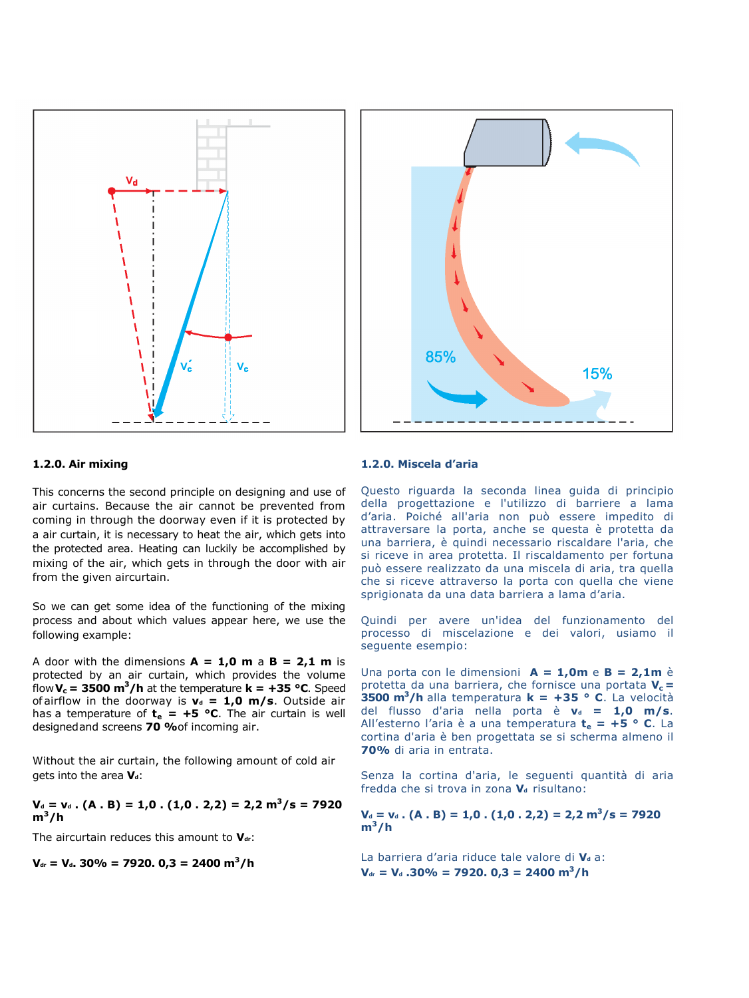



## 1.2.0. Air mixing

This concerns the second principle on designing and use of air curtains. Because the air cannot be prevented from coming in through the doorway even if it is protected by a air curtain, it is necessary to heat the air, which gets into the protected area. Heating can luckily be accomplished by mixing of the air, which gets in through the door with air from the given aircurtain.

So we can get some idea of the functioning of the mixing process and about which values appear here, we use the following example:

A door with the dimensions  $A = 1.0$  m a  $B = 2.1$  m is protected by an air curtain, which provides the volume flow  $V_c$  = 3500 m<sup>3</sup>/h at the temperature  $k = +35$  °C. Speed of airflow in the doorway is  $v_d = 1,0$  m/s. Outside air has a temperature of  $t_e = +5$  °C. The air curtain is well designedand screens 70 % of incoming air.

Without the air curtain, the following amount of cold air gets into the area  $V_d$ :

$$
V_a = v_a
$$
. (A . B) = 1,0. (1,0.2,2) = 2,2 m<sup>3</sup>/s = 7920 m<sup>3</sup>/h

The aircurtain reduces this amount to  $V_{dr}$ :

$$
V_{dr} = V_d
$$
. 30% = 7920. 0,3 = 2400 m<sup>3</sup>/h

## 1.2.0. Miscela d'aria

Questo riguarda la seconda linea guida di principio della progettazione e l'utilizzo di barriere a lama d'aria. Poiché all'aria non può essere impedito di attraversare la porta, anche se questa è protetta da una barriera, è quindi necessario riscaldare l'aria, che si riceve in area protetta. Il riscaldamento per fortuna può essere realizzato da una miscela di aria, tra quella che si riceve attraverso la porta con quella che viene sprigionata da una data barriera a lama d'aria.

Quindi per avere un'idea del funzionamento del processo di miscelazione e dei valori, usiamo il seguente esempio:

Una porta con le dimensioni  $A = 1,0m$  e  $B = 2,1m$  è protetta da una barriera, che fornisce una portata  $V_c =$ **3500 m<sup>3</sup>/h** alla temperatura  $k = +35$  ° C. La velocità del flusso d'aria nella porta è  $v_d = 1.0$  m/s. All'esterno l'aria è a una temperatura  $t_e = +5$  ° C. La cortina d'aria è ben progettata se si scherma almeno il 70% di aria in entrata.

Senza la cortina d'aria, le seguenti quantità di aria fredda che si trova in zona  $V_d$  risultano:

$$
V_a = v_a
$$
. (A . B) = 1,0. (1,0.2,2) = 2,2 m<sup>3</sup>/s = 7920 m<sup>3</sup>/h

La barriera d'aria riduce tale valore di  $V_d$  a:  $V_{dr} = V_d$  .30% = 7920. 0,3 = 2400 m<sup>3</sup>/h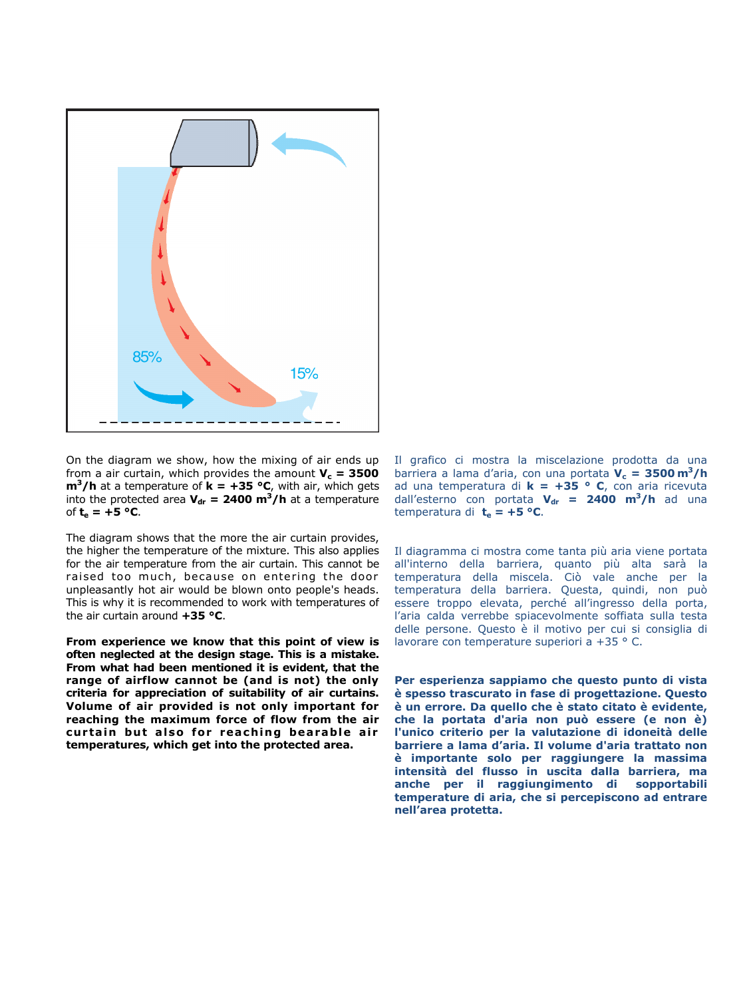

On the diagram we show, how the mixing of air ends up from a air curtain, which provides the amount  $V_c = 3500$  $m^3/h$  at a temperature of  $k = +35$  °C, with air, which gets into the protected area  $V_{dr} = 2400 \text{ m}^3/\text{h}$  at a temperature of  $t_e = +5$  °C.

The diagram shows that the more the air curtain provides, the higher the temperature of the mixture. This also applies for the air temperature from the air curtain. This cannot be raised too much, because on entering the door unpleasantly hot air would be blown onto people's heads. This is why it is recommended to work with temperatures of the air curtain around  $+35$  °C.

From experience we know that this point of view is often neglected at the design stage. This is a mistake. From what had been mentioned it is evident, that the range of airflow cannot be (and is not) the only criteria for appreciation of suitability of air curtains. Volume of air provided is not only important for reaching the maximum force of flow from the air curtain but also for reaching bearable air temperatures, which get into the protected area.

Il grafico ci mostra la miscelazione prodotta da una barriera a lama d'aria, con una portata  $V_c = 3500 \text{ m}^3/\text{h}$ ad una temperatura di  $k = +35$  ° C, con aria ricevuta dall'esterno con portata  $V_{dr}$  = 2400 m<sup>3</sup>/h ad una temperatura di  $t_e = +5$  °C.

Il diagramma ci mostra come tanta più aria viene portata all'interno della barriera, quanto più alta sarà la temperatura della miscela. Ciò vale anche per la temperatura della barriera. Questa, quindi, non può essere troppo elevata, perché all'ingresso della porta, l'aria calda verrebbe spiacevolmente soffiata sulla testa delle persone. Questo è il motivo per cui si consiglia di lavorare con temperature superiori a +35 ° C.

Per esperienza sappiamo che questo punto di vista è spesso trascurato in fase di progettazione. Questo è un errore. Da quello che è stato citato è evidente, che la portata d'aria non può essere (e non è) l'unico criterio per la valutazione di idoneità delle barriere a lama d'aria. Il volume d'aria trattato non è importante solo per raggiungere la massima intensità del flusso in uscita dalla barriera, ma anche per il raggiungimento di sopportabili temperature di aria, che si percepiscono ad entrare nell'area protetta.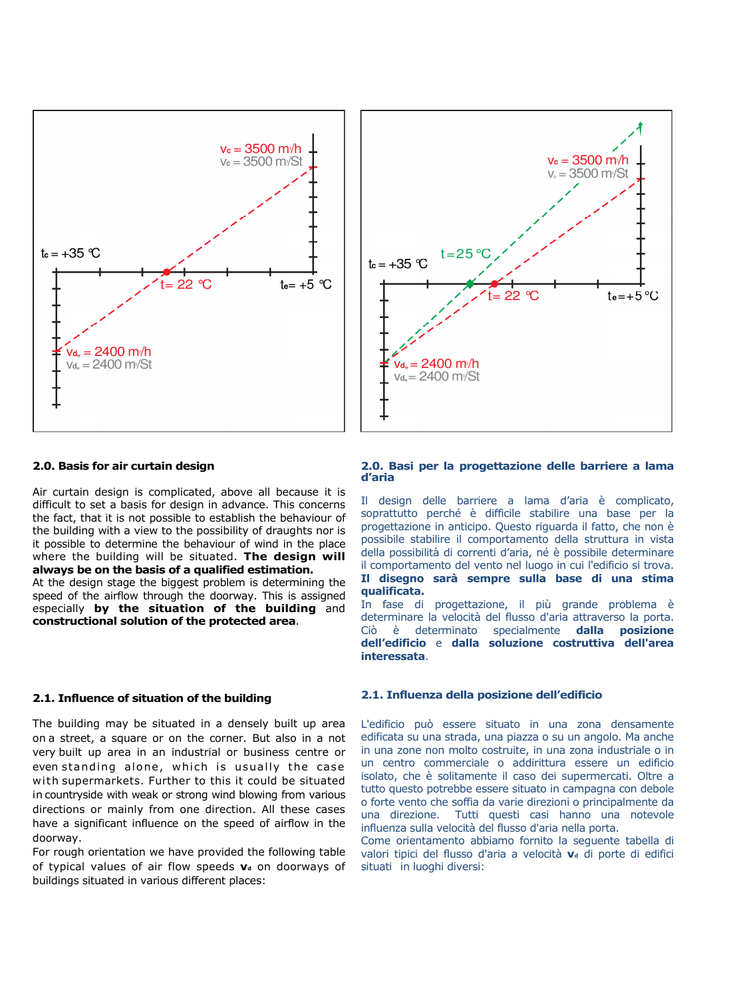



## 2.0. Basis for air curtain design

Air curtain design is complicated, above all because it is difficult to set a basis for design in advance. This concerns the fact, that it is not possible to establish the behaviour of the building with a view to the possibility of draughts nor is it possible to determine the behaviour of wind in the place where the building will be situated. The design will always be on the basis of a qualified estimation.

At the design stage the biggest problem is determining the speed of the airflow through the doorway. This is assigned especially by the situation of the building and constructional solution of the protected area.

#### 2.1. Influence of situation of the building

The building may be situated in a densely built up area on a street, a square or on the corner. But also in a not very built up area in an industrial or business centre or even standing alone, which is usually the case with supermarkets. Further to this it could be situated in countryside with weak or strong wind blowing from various directions or mainly from one direction. All these cases have a significant influence on the speed of airflow in the doorway.

For rough orientation we have provided the following table of typical values of air flow speeds  $\mathbf{v}_d$  on doorways of buildings situated in various different places:

#### 2.0. Basi per la progettazione delle barriere a lama d'aria

Il design delle barriere a lama d'aria è complicato, soprattutto perché è difficile stabilire una base per la progettazione in anticipo. Questo riguarda il fatto, che non è possibile stabilire il comportamento della struttura in vista della possibilità di correnti d'aria, né è possibile determinare il comportamento del vento nel luogo in cui l'edificio si trova. Il disegno sarà sempre sulla base di una stima qualificata.

In fase di progettazione, il più grande problema è determinare la velocità del flusso d'aria attraverso la porta. Ciò è determinato specialmente dalla posizione dell'edificio e dalla soluzione costruttiva dell'area interessata.

#### 2.1. Influenza della posizione dell'edificio

L'edificio può essere situato in una zona densamente edificata su una strada, una piazza o su un angolo. Ma anche in una zone non molto costruite, in una zona industriale o in un centro commerciale o addirittura essere un edificio isolato, che è solitamente il caso dei supermercati. Oltre a tutto questo potrebbe essere situato in campagna con debole o forte vento che soffia da varie direzioni o principalmente da una direzione. Tutti questi casi hanno una notevole influenza sulla velocità del flusso d'aria nella porta.

Come orientamento abbiamo fornito la seguente tabella di valori tipici del flusso d'aria a velocità v<sub>a</sub> di porte di edifici situati in luoghi diversi: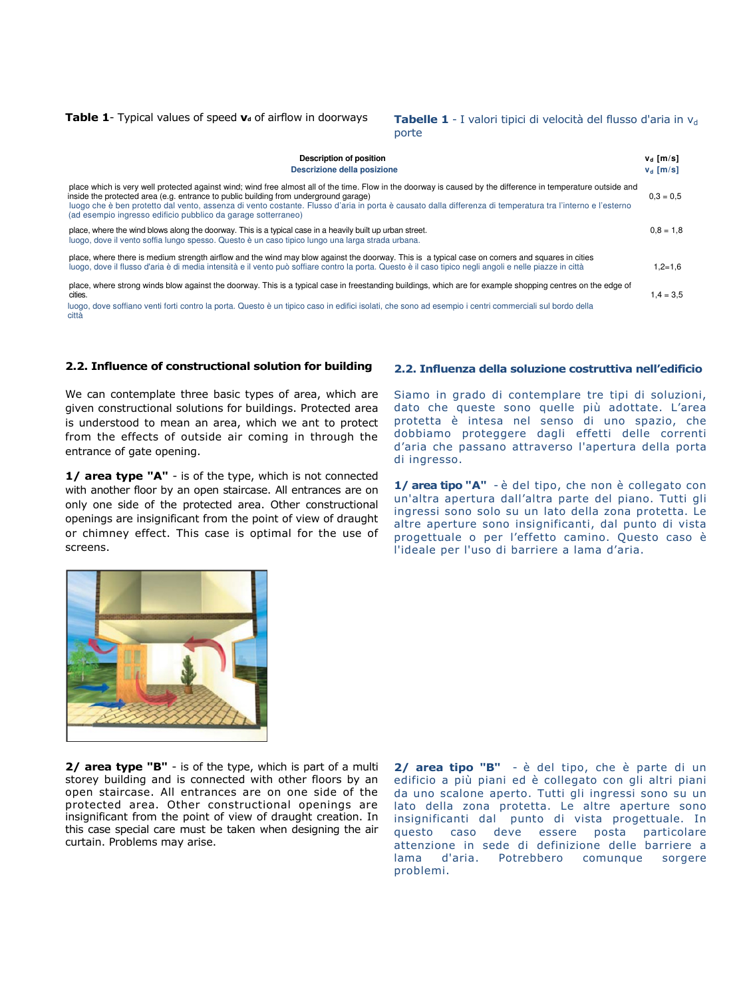**Table 1**- Typical values of speed **v**<sub>d</sub> of airflow in doorways **Tabelle 1** - I valori tipici di velocità del flusso d'aria in v<sub>d</sub>

porte

| <b>Description of position</b><br>Descrizione della posizione                                                                                                                                                                                                                                                                                                                                                                                                                       | $v_d$ [m/s]<br>$v_d$ [m/s] |
|-------------------------------------------------------------------------------------------------------------------------------------------------------------------------------------------------------------------------------------------------------------------------------------------------------------------------------------------------------------------------------------------------------------------------------------------------------------------------------------|----------------------------|
| place which is very well protected against wind; wind free almost all of the time. Flow in the doorway is caused by the difference in temperature outside and<br>inside the protected area (e.g. entrance to public building from underground garage)<br>luogo che è ben protetto dal vento, assenza di vento costante. Flusso d'aria in porta è causato dalla differenza di temperatura tra l'interno e l'esterno<br>(ad esempio ingresso edificio pubblico da garage sotterraneo) | $0.3 = 0.5$                |
| place, where the wind blows along the doorway. This is a typical case in a heavily built up urban street.<br>luogo, dove il vento soffia lungo spesso. Questo è un caso tipico lungo una larga strada urbana.                                                                                                                                                                                                                                                                       | $0.8 = 1.8$                |
| place, where there is medium strength airflow and the wind may blow against the doorway. This is a typical case on corners and squares in cities<br>luogo, dove il flusso d'aria è di media intensità e il vento può soffiare contro la porta. Questo è il caso tipico negli angoli e nelle piazze in città                                                                                                                                                                         | $1.2 = 1.6$                |
| place, where strong winds blow against the doorway. This is a typical case in freestanding buildings, which are for example shopping centres on the edge of<br>cities.                                                                                                                                                                                                                                                                                                              | $.4 = 3.5$                 |

 luogo, dove soffiano venti forti contro la porta. Questo è un tipico caso in edifici isolati, che sono ad esempio i centri commerciali sul bordo della città

#### 2.2. Influence of constructional solution for building

We can contemplate three basic types of area, which are given constructional solutions for buildings. Protected area is understood to mean an area, which we ant to protect from the effects of outside air coming in through the entrance of gate opening.

1/ area type "A" - is of the type, which is not connected with another floor by an open staircase. All entrances are on only one side of the protected area. Other constructional openings are insignificant from the point of view of draught or chimney effect. This case is optimal for the use of screens.

## 2.2. Influenza della soluzione costruttiva nell'edificio

Siamo in grado di contemplare tre tipi di soluzioni, dato che queste sono quelle più adottate. L'area protetta è intesa nel senso di uno spazio, che dobbiamo proteggere dagli effetti delle correnti d'aria che passano attraverso l'apertura della porta di ingresso.

1/ area tipo "A" - è del tipo, che non è collegato con un'altra apertura dall'altra parte del piano. Tutti gli ingressi sono solo su un lato della zona protetta. Le altre aperture sono insignificanti, dal punto di vista progettuale o per l'effetto camino. Questo caso è l'ideale per l'uso di barriere a lama d'aria.



2/ area type "B" - is of the type, which is part of a multi storey building and is connected with other floors by an open staircase. All entrances are on one side of the protected area. Other constructional openings are insignificant from the point of view of draught creation. In this case special care must be taken when designing the air curtain. Problems may arise.

2/ area tipo "B" - è del tipo, che è parte di un edificio a più piani ed è collegato con gli altri piani da uno scalone aperto. Tutti gli ingressi sono su un lato della zona protetta. Le altre aperture sono insignificanti dal punto di vista progettuale. In questo caso deve essere posta particolare attenzione in sede di definizione delle barriere a lama d'aria. Potrebbero comunque sorgere problemi.